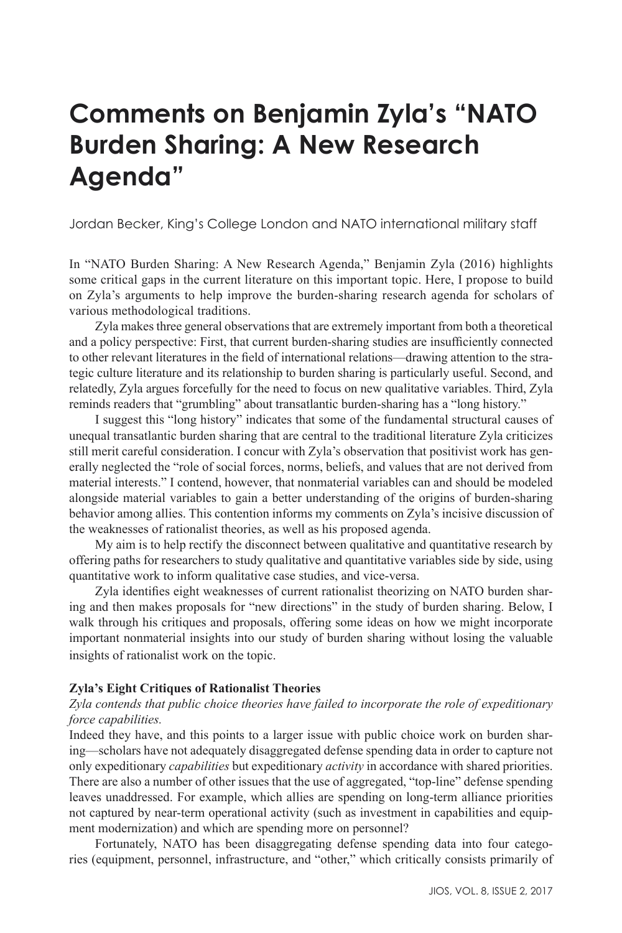# **Comments on Benjamin Zyla's "NATO Burden Sharing: A New Research Agenda"**

Jordan Becker, King's College London and NATO international military staff

In "NATO Burden Sharing: A New Research Agenda," Benjamin Zyla (2016) highlights some critical gaps in the current literature on this important topic. Here, I propose to build on Zyla's arguments to help improve the burden-sharing research agenda for scholars of various methodological traditions.

Zyla makes three general observations that are extremely important from both a theoretical and a policy perspective: First, that current burden-sharing studies are insufficiently connected to other relevant literatures in the field of international relations—drawing attention to the strategic culture literature and its relationship to burden sharing is particularly useful. Second, and relatedly, Zyla argues forcefully for the need to focus on new qualitative variables. Third, Zyla reminds readers that "grumbling" about transatlantic burden-sharing has a "long history."

I suggest this "long history" indicates that some of the fundamental structural causes of unequal transatlantic burden sharing that are central to the traditional literature Zyla criticizes still merit careful consideration. I concur with Zyla's observation that positivist work has generally neglected the "role of social forces, norms, beliefs, and values that are not derived from material interests." I contend, however, that nonmaterial variables can and should be modeled alongside material variables to gain a better understanding of the origins of burden-sharing behavior among allies. This contention informs my comments on Zyla's incisive discussion of the weaknesses of rationalist theories, as well as his proposed agenda.

My aim is to help rectify the disconnect between qualitative and quantitative research by offering paths for researchers to study qualitative and quantitative variables side by side, using quantitative work to inform qualitative case studies, and vice-versa.

Zyla identifies eight weaknesses of current rationalist theorizing on NATO burden sharing and then makes proposals for "new directions" in the study of burden sharing. Below, I walk through his critiques and proposals, offering some ideas on how we might incorporate important nonmaterial insights into our study of burden sharing without losing the valuable insights of rationalist work on the topic.

#### **Zyla's Eight Critiques of Rationalist Theories**

### *Zyla contends that public choice theories have failed to incorporate the role of expeditionary force capabilities.*

Indeed they have, and this points to a larger issue with public choice work on burden sharing—scholars have not adequately disaggregated defense spending data in order to capture not only expeditionary *capabilities* but expeditionary *activity* in accordance with shared priorities. There are also a number of other issues that the use of aggregated, "top-line" defense spending leaves unaddressed. For example, which allies are spending on long-term alliance priorities not captured by near-term operational activity (such as investment in capabilities and equipment modernization) and which are spending more on personnel?

Fortunately, NATO has been disaggregating defense spending data into four categories (equipment, personnel, infrastructure, and "other," which critically consists primarily of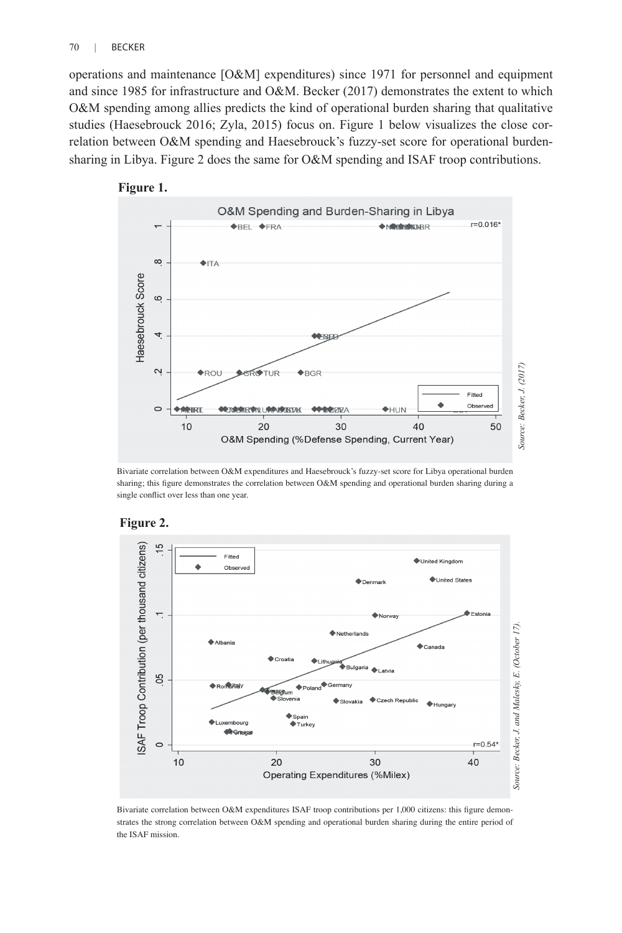operations and maintenance [O&M] expenditures) since 1971 for personnel and equipment and since 1985 for infrastructure and O&M. Becker (2017) demonstrates the extent to which O&M spending among allies predicts the kind of operational burden sharing that qualitative studies (Haesebrouck 2016; Zyla, 2015) focus on. Figure 1 below visualizes the close correlation between O&M spending and Haesebrouck's fuzzy-set score for operational burdensharing in Libya. Figure 2 does the same for O&M spending and ISAF troop contributions.



Bivariate correlation between O&M expenditures and Haesebrouck's fuzzy-set score for Libya operational burden sharing; this figure demonstrates the correlation between O&M spending and operational burden sharing during a single conflict over less than one year.



#### **Figure 2.**

Bivariate correlation between O&M expenditures ISAF troop contributions per 1,000 citizens: this figure demonstrates the strong correlation between O&M spending and operational burden sharing during the entire period of the ISAF mission.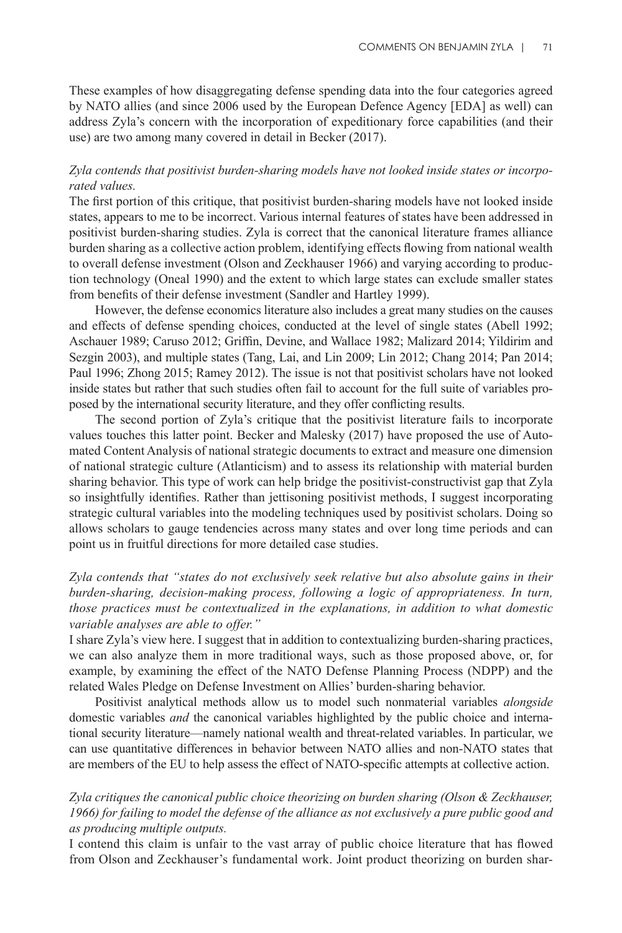These examples of how disaggregating defense spending data into the four categories agreed by NATO allies (and since 2006 used by the European Defence Agency [EDA] as well) can address Zyla's concern with the incorporation of expeditionary force capabilities (and their use) are two among many covered in detail in Becker (2017).

#### *Zyla contends that positivist burden-sharing models have not looked inside states or incorporated values.*

The first portion of this critique, that positivist burden-sharing models have not looked inside states, appears to me to be incorrect. Various internal features of states have been addressed in positivist burden-sharing studies. Zyla is correct that the canonical literature frames alliance burden sharing as a collective action problem, identifying effects flowing from national wealth to overall defense investment (Olson and Zeckhauser 1966) and varying according to production technology (Oneal 1990) and the extent to which large states can exclude smaller states from benefits of their defense investment (Sandler and Hartley 1999).

However, the defense economics literature also includes a great many studies on the causes and effects of defense spending choices, conducted at the level of single states (Abell 1992; Aschauer 1989; Caruso 2012; Griffin, Devine, and Wallace 1982; Malizard 2014; Yildirim and Sezgin 2003), and multiple states (Tang, Lai, and Lin 2009; Lin 2012; Chang 2014; Pan 2014; Paul 1996; Zhong 2015; Ramey 2012). The issue is not that positivist scholars have not looked inside states but rather that such studies often fail to account for the full suite of variables proposed by the international security literature, and they offer conflicting results.

The second portion of Zyla's critique that the positivist literature fails to incorporate values touches this latter point. Becker and Malesky (2017) have proposed the use of Automated Content Analysis of national strategic documents to extract and measure one dimension of national strategic culture (Atlanticism) and to assess its relationship with material burden sharing behavior. This type of work can help bridge the positivist-constructivist gap that Zyla so insightfully identifies. Rather than jettisoning positivist methods, I suggest incorporating strategic cultural variables into the modeling techniques used by positivist scholars. Doing so allows scholars to gauge tendencies across many states and over long time periods and can point us in fruitful directions for more detailed case studies.

*Zyla contends that "states do not exclusively seek relative but also absolute gains in their burden-sharing, decision-making process, following a logic of appropriateness. In turn, those practices must be contextualized in the explanations, in addition to what domestic variable analyses are able to offer."*

I share Zyla's view here. I suggest that in addition to contextualizing burden-sharing practices, we can also analyze them in more traditional ways, such as those proposed above, or, for example, by examining the effect of the NATO Defense Planning Process (NDPP) and the related Wales Pledge on Defense Investment on Allies' burden-sharing behavior.

Positivist analytical methods allow us to model such nonmaterial variables *alongside*  domestic variables *and* the canonical variables highlighted by the public choice and international security literature—namely national wealth and threat-related variables. In particular, we can use quantitative differences in behavior between NATO allies and non-NATO states that are members of the EU to help assess the effect of NATO-specific attempts at collective action.

### *Zyla critiques the canonical public choice theorizing on burden sharing (Olson & Zeckhauser, 1966) for failing to model the defense of the alliance as not exclusively a pure public good and as producing multiple outputs.*

I contend this claim is unfair to the vast array of public choice literature that has flowed from Olson and Zeckhauser's fundamental work. Joint product theorizing on burden shar-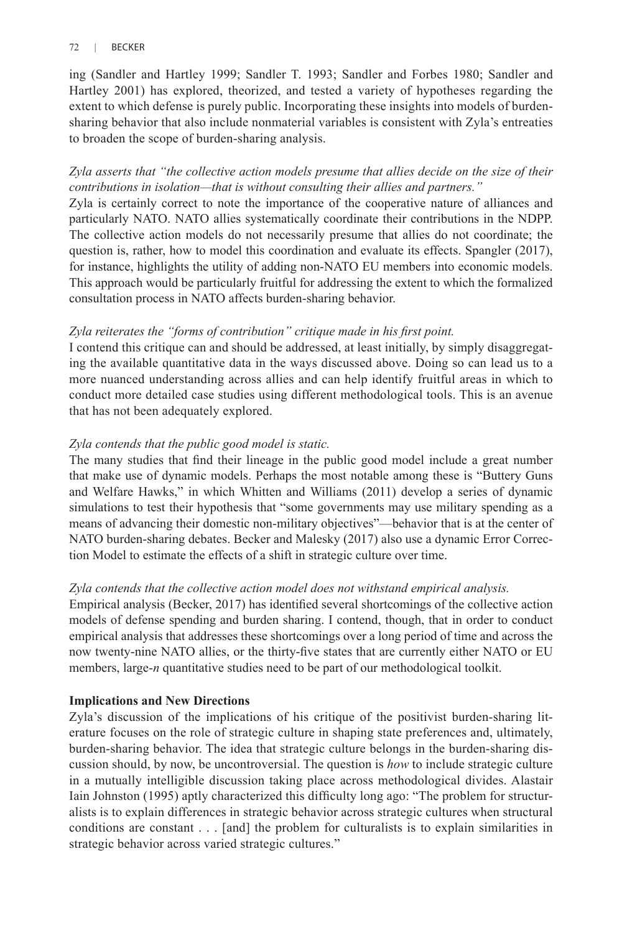#### 72 | BECKER

ing (Sandler and Hartley 1999; Sandler T. 1993; Sandler and Forbes 1980; Sandler and Hartley 2001) has explored, theorized, and tested a variety of hypotheses regarding the extent to which defense is purely public. Incorporating these insights into models of burdensharing behavior that also include nonmaterial variables is consistent with Zyla's entreaties to broaden the scope of burden-sharing analysis.

# *Zyla asserts that "the collective action models presume that allies decide on the size of their contributions in isolation—that is without consulting their allies and partners."*

Zyla is certainly correct to note the importance of the cooperative nature of alliances and particularly NATO. NATO allies systematically coordinate their contributions in the NDPP. The collective action models do not necessarily presume that allies do not coordinate; the question is, rather, how to model this coordination and evaluate its effects. Spangler (2017), for instance, highlights the utility of adding non-NATO EU members into economic models. This approach would be particularly fruitful for addressing the extent to which the formalized consultation process in NATO affects burden-sharing behavior.

# *Zyla reiterates the "forms of contribution" critique made in his first point.*

I contend this critique can and should be addressed, at least initially, by simply disaggregating the available quantitative data in the ways discussed above. Doing so can lead us to a more nuanced understanding across allies and can help identify fruitful areas in which to conduct more detailed case studies using different methodological tools. This is an avenue that has not been adequately explored.

# *Zyla contends that the public good model is static.*

The many studies that find their lineage in the public good model include a great number that make use of dynamic models. Perhaps the most notable among these is "Buttery Guns and Welfare Hawks," in which Whitten and Williams (2011) develop a series of dynamic simulations to test their hypothesis that "some governments may use military spending as a means of advancing their domestic non-military objectives"—behavior that is at the center of NATO burden-sharing debates. Becker and Malesky (2017) also use a dynamic Error Correction Model to estimate the effects of a shift in strategic culture over time.

# *Zyla contends that the collective action model does not withstand empirical analysis.*

Empirical analysis (Becker, 2017) has identified several shortcomings of the collective action models of defense spending and burden sharing. I contend, though, that in order to conduct empirical analysis that addresses these shortcomings over a long period of time and across the now twenty-nine NATO allies, or the thirty-five states that are currently either NATO or EU members, large-*n* quantitative studies need to be part of our methodological toolkit.

# **Implications and New Directions**

Zyla's discussion of the implications of his critique of the positivist burden-sharing literature focuses on the role of strategic culture in shaping state preferences and, ultimately, burden-sharing behavior. The idea that strategic culture belongs in the burden-sharing discussion should, by now, be uncontroversial. The question is *how* to include strategic culture in a mutually intelligible discussion taking place across methodological divides. Alastair Iain Johnston (1995) aptly characterized this difficulty long ago: "The problem for structuralists is to explain differences in strategic behavior across strategic cultures when structural conditions are constant . . . [and] the problem for culturalists is to explain similarities in strategic behavior across varied strategic cultures."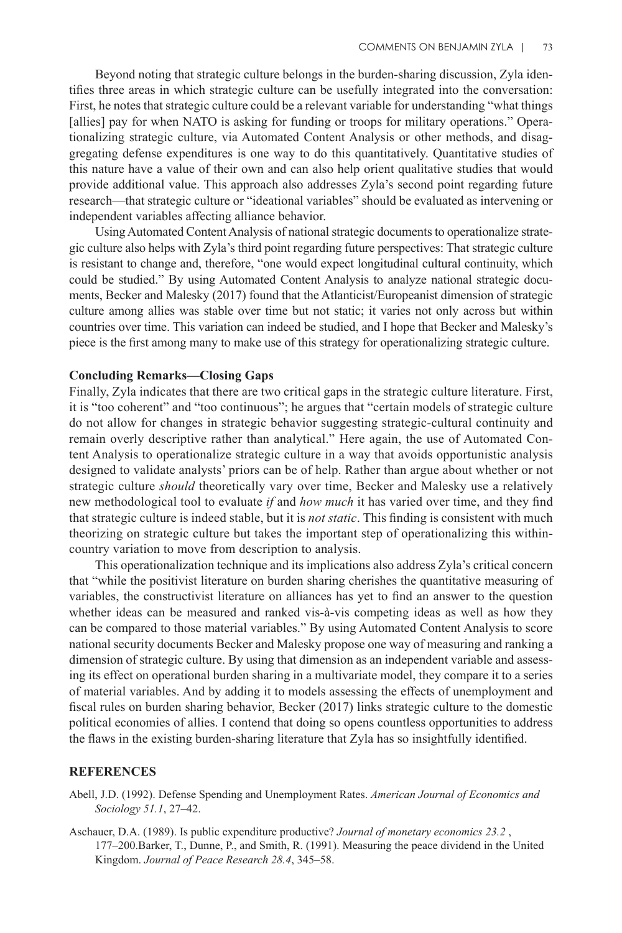Beyond noting that strategic culture belongs in the burden-sharing discussion, Zyla identifies three areas in which strategic culture can be usefully integrated into the conversation: First, he notes that strategic culture could be a relevant variable for understanding "what things [allies] pay for when NATO is asking for funding or troops for military operations." Operationalizing strategic culture, via Automated Content Analysis or other methods, and disaggregating defense expenditures is one way to do this quantitatively. Quantitative studies of this nature have a value of their own and can also help orient qualitative studies that would provide additional value. This approach also addresses Zyla's second point regarding future research—that strategic culture or "ideational variables" should be evaluated as intervening or independent variables affecting alliance behavior.

Using Automated Content Analysis of national strategic documents to operationalize strategic culture also helps with Zyla's third point regarding future perspectives: That strategic culture is resistant to change and, therefore, "one would expect longitudinal cultural continuity, which could be studied." By using Automated Content Analysis to analyze national strategic documents, Becker and Malesky (2017) found that the Atlanticist/Europeanist dimension of strategic culture among allies was stable over time but not static; it varies not only across but within countries over time. This variation can indeed be studied, and I hope that Becker and Malesky's piece is the first among many to make use of this strategy for operationalizing strategic culture.

#### **Concluding Remarks—Closing Gaps**

Finally, Zyla indicates that there are two critical gaps in the strategic culture literature. First, it is "too coherent" and "too continuous"; he argues that "certain models of strategic culture do not allow for changes in strategic behavior suggesting strategic-cultural continuity and remain overly descriptive rather than analytical." Here again, the use of Automated Content Analysis to operationalize strategic culture in a way that avoids opportunistic analysis designed to validate analysts' priors can be of help. Rather than argue about whether or not strategic culture *should* theoretically vary over time, Becker and Malesky use a relatively new methodological tool to evaluate *if* and *how much* it has varied over time, and they find that strategic culture is indeed stable, but it is *not static*. This finding is consistent with much theorizing on strategic culture but takes the important step of operationalizing this withincountry variation to move from description to analysis.

This operationalization technique and its implications also address Zyla's critical concern that "while the positivist literature on burden sharing cherishes the quantitative measuring of variables, the constructivist literature on alliances has yet to find an answer to the question whether ideas can be measured and ranked vis-à-vis competing ideas as well as how they can be compared to those material variables." By using Automated Content Analysis to score national security documents Becker and Malesky propose one way of measuring and ranking a dimension of strategic culture. By using that dimension as an independent variable and assessing its effect on operational burden sharing in a multivariate model, they compare it to a series of material variables. And by adding it to models assessing the effects of unemployment and fiscal rules on burden sharing behavior, Becker (2017) links strategic culture to the domestic political economies of allies. I contend that doing so opens countless opportunities to address the flaws in the existing burden-sharing literature that Zyla has so insightfully identified.

#### **REFERENCES**

Abell, J.D. (1992). Defense Spending and Unemployment Rates. *American Journal of Economics and Sociology 51.1*, 27–42.

Aschauer, D.A. (1989). Is public expenditure productive? *Journal of monetary economics 23.2* , 177–200.Barker, T., Dunne, P., and Smith, R. (1991). Measuring the peace dividend in the United Kingdom. *Journal of Peace Research 28.4*, 345–58.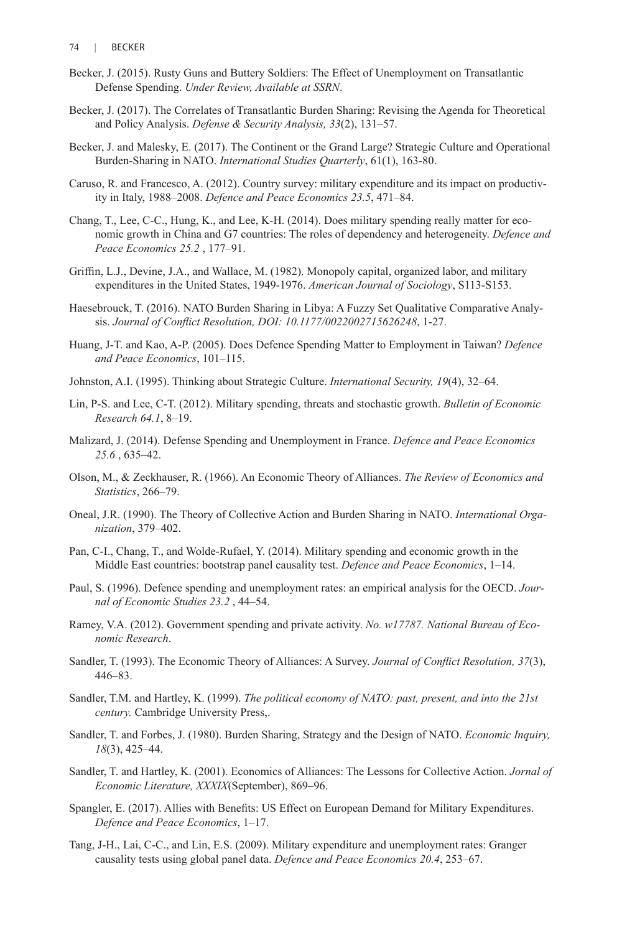- Becker, J. (2015). Rusty Guns and Buttery Soldiers: The Effect of Unemployment on Transatlantic Defense Spending. *Under Review, Available at SSRN*.
- Becker, J. (2017). The Correlates of Transatlantic Burden Sharing: Revising the Agenda for Theoretical and Policy Analysis. *Defense & Security Analysis, 33*(2), 131–57.
- Becker, J. and Malesky, E. (2017). The Continent or the Grand Large? Strategic Culture and Operational Burden-Sharing in NATO. *International Studies Quarterly*, 61(1), 163-80.
- Caruso, R. and Francesco, A. (2012). Country survey: military expenditure and its impact on productivity in Italy, 1988–2008. *Defence and Peace Economics 23.5*, 471–84.
- Chang, T., Lee, C-C., Hung, K., and Lee, K-H. (2014). Does military spending really matter for economic growth in China and G7 countries: The roles of dependency and heterogeneity. *Defence and Peace Economics 25.2* , 177–91.
- Griffin, L.J., Devine, J.A., and Wallace, M. (1982). Monopoly capital, organized labor, and military expenditures in the United States, 1949-1976. *American Journal of Sociology*, S113-S153.
- Haesebrouck, T. (2016). NATO Burden Sharing in Libya: A Fuzzy Set Qualitative Comparative Analysis. *Journal of Conflict Resolution, DOI: 10.1177/0022002715626248*, 1-27.
- Huang, J-T. and Kao, A-P. (2005). Does Defence Spending Matter to Employment in Taiwan? *Defence and Peace Economics*, 101–115.
- Johnston, A.I. (1995). Thinking about Strategic Culture. *International Security, 19*(4), 32–64.
- Lin, P-S. and Lee, C-T. (2012). Military spending, threats and stochastic growth. *Bulletin of Economic Research 64.1*, 8–19.
- Malizard, J. (2014). Defense Spending and Unemployment in France. *Defence and Peace Economics 25.6* , 635–42.
- Olson, M., & Zeckhauser, R. (1966). An Economic Theory of Alliances. *The Review of Economics and Statistics*, 266–79.
- Oneal, J.R. (1990). The Theory of Collective Action and Burden Sharing in NATO. *International Organization*, 379–402.
- Pan, C-I., Chang, T., and Wolde-Rufael, Y. (2014). Military spending and economic growth in the Middle East countries: bootstrap panel causality test. *Defence and Peace Economics*, 1–14.
- Paul, S. (1996). Defence spending and unemployment rates: an empirical analysis for the OECD. *Journal of Economic Studies 23.2* , 44–54.
- Ramey, V.A. (2012). Government spending and private activity. *No. w17787. National Bureau of Economic Research*.
- Sandler, T. (1993). The Economic Theory of Alliances: A Survey. *Journal of Conflict Resolution, 37*(3), 446–83.
- Sandler, T.M. and Hartley, K. (1999). *The political economy of NATO: past, present, and into the 21st century.* Cambridge University Press,.
- Sandler, T. and Forbes, J. (1980). Burden Sharing, Strategy and the Design of NATO. *Economic Inquiry, 18*(3), 425–44.
- Sandler, T. and Hartley, K. (2001). Economics of Alliances: The Lessons for Collective Action. *Jornal of Economic Literature, XXXIX*(September), 869–96.
- Spangler, E. (2017). Allies with Benefits: US Effect on European Demand for Military Expenditures. *Defence and Peace Economics*, 1–17.
- Tang, J-H., Lai, C-C., and Lin, E.S. (2009). Military expenditure and unemployment rates: Granger causality tests using global panel data. *Defence and Peace Economics 20.4*, 253–67.